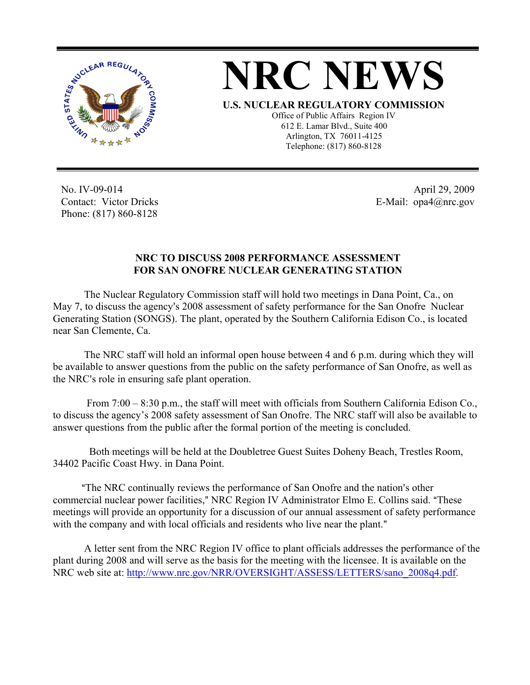

## **NRC NEWS**

**U.S. NUCLEAR REGULATORY COMMISSION**

Office of Public Affairs Region IV 612 E. Lamar Blvd., Suite 400 Arlington, TX 76011-4125 Telephone: (817) 860-8128

No. IV-09-014 Contact: Victor Dricks Phone: (817) 860-8128

April 29, 2009 E-Mail: opa4@nrc.gov

## **NRC TO DISCUSS 2008 PERFORMANCE ASSESSMENT FOR SAN ONOFRE NUCLEAR GENERATING STATION**

The Nuclear Regulatory Commission staff will hold two meetings in Dana Point, Ca., on May 7, to discuss the agency's 2008 assessment of safety performance for the San Onofre Nuclear Generating Station (SONGS). The plant, operated by the Southern California Edison Co., is located near San Clemente, Ca.

The NRC staff will hold an informal open house between 4 and 6 p.m. during which they will be available to answer questions from the public on the safety performance of San Onofre, as well as the NRC's role in ensuring safe plant operation.

 From 7:00 – 8:30 p.m., the staff will meet with officials from Southern California Edison Co., to discuss the agency's 2008 safety assessment of San Onofre. The NRC staff will also be available to answer questions from the public after the formal portion of the meeting is concluded.

 Both meetings will be held at the Doubletree Guest Suites Doheny Beach, Trestles Room, 34402 Pacific Coast Hwy. in Dana Point.

<sup>"</sup>The NRC continually reviews the performance of San Onofre and the nation's other commercial nuclear power facilities," NRC Region IV Administrator Elmo E. Collins said. "These meetings will provide an opportunity for a discussion of our annual assessment of safety performance with the company and with local officials and residents who live near the plant."

A letter sent from the NRC Region IV office to plant officials addresses the performance of the plant during 2008 and will serve as the basis for the meeting with the licensee. It is available on the NRC web site at: http://www.nrc.gov/NRR/OVERSIGHT/ASSESS/LETTERS/sano\_2008q4.pdf.